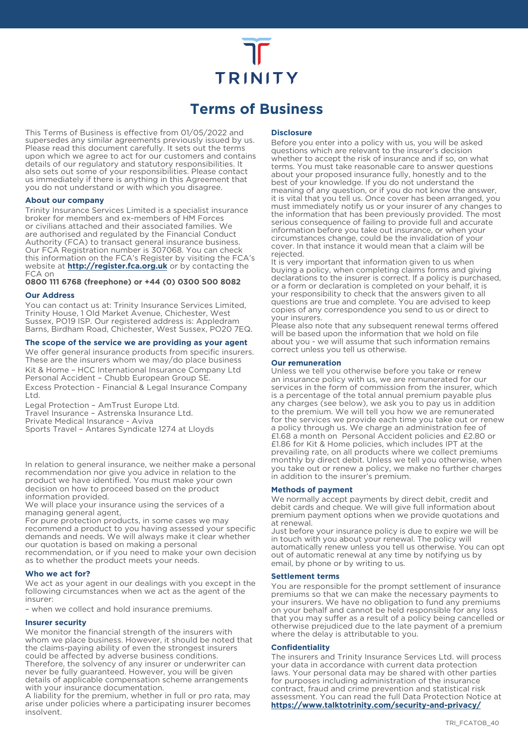# **TRINITY**

# **Terms of Business**

This Terms of Business is effective from 01/05/2022 and supersedes any similar agreements previously issued by us. Please read this document carefully. It sets out the terms upon which we agree to act for our customers and contains details of our regulatory and statutory responsibilities. It also sets out some of your responsibilities. Please contact us immediately if there is anything in this Agreement that you do not understand or with which you disagree.

# **About our company**

Trinity Insurance Services Limited is a specialist insurance broker for members and ex-members of HM Forces or civilians attached and their associated families. We are authorised and regulated by the Financial Conduct Authority (FCA) to transact general insurance business. Our FCA Registration number is 307068. You can check this information on the FCA's Register by visiting the FCA's website at **http://register.fca.org.uk** or by contacting the FCA on

**0800 111 6768 (freephone) or +44 (0) 0300 500 8082**

# **Our Address**

You can contact us at: Trinity Insurance Services Limited, Trinity House, 1 Old Market Avenue, Chichester, West Sussex, PO19 lSP. Our registered address is: Appledram Barns, Birdham Road, Chichester, West Sussex, PO20 7EQ.

# **The scope of the service we are providing as your agent**

We offer general insurance products from specific insurers. These are the insurers whom we may/do place business Kit & Home – HCC International Insurance Company Ltd Personal Accident – Chubb European Group SE. Excess Protection - Financial & Legal Insurance Company Ltd.

Legal Protection – AmTrust Europe Ltd. Travel Insurance – Astrenska Insurance Ltd. Private Medical Insurance - Aviva

Sports Travel – Antares Syndicate 1274 at Lloyds

In relation to general insurance, we neither make a personal recommendation nor give you advice in relation to the product we have identified. You must make your own decision on how to proceed based on the product information provided.

We will place your insurance using the services of a managing general agent,

For pure protection products, in some cases we may recommend a product to you having assessed your specific demands and needs. We will always make it clear whether our quotation is based on making a personal

recommendation, or if you need to make your own decision as to whether the product meets your needs.

#### **Who we act for?**

We act as your agent in our dealings with you except in the following circumstances when we act as the agent of the insurer:

– when we collect and hold insurance premiums.

# **Insurer security**

We monitor the financial strength of the insurers with whom we place business. However, it should be noted that the claims-paying ability of even the strongest insurers could be affected by adverse business conditions. Therefore, the solvency of any insurer or underwriter can never be fully guaranteed. However, you will be given details of applicable compensation scheme arrangements with your insurance documentation.

A liability for the premium, whether in full or pro rata, may arise under policies where a participating insurer becomes insolvent.

#### **Disclosure**

Before you enter into a policy with us, you will be asked questions which are relevant to the insurer's decision whether to accept the risk of insurance and if so, on what terms. You must take reasonable care to answer questions about your proposed insurance fully, honestly and to the best of your knowledge. If you do not understand the meaning of any question, or if you do not know the answer, it is vital that you tell us. Once cover has been arranged, you must immediately notify us or your insurer of any changes to the information that has been previously provided. The most serious consequence of failing to provide full and accurate information before you take out insurance, or when your circumstances change, could be the invalidation of your cover. In that instance it would mean that a claim will be rejected.

It is very important that information given to us when buying a policy, when completing claims forms and giving declarations to the insurer is correct. If a policy is purchased, or a form or declaration is completed on your behalf, it is your responsibility to check that the answers given to all questions are true and complete. You are advised to keep copies of any correspondence you send to us or direct to your insurers.

Please also note that any subsequent renewal terms offered will be based upon the information that we hold on file about you - we will assume that such information remains correct unless you tell us otherwise.

# **Our remuneration**

Unless we tell you otherwise before you take or renew an insurance policy with us, we are remunerated for our services in the form of commission from the insurer, which is a percentage of the total annual premium payable plus any charges (see below), we ask you to pay us in addition to the premium. We will tell you how we are remunerated for the services we provide each time you take out or renew a policy through us. We charge an administration fee of £1.68 a month on Personal Accident policies and £2.80 or £1.86 for Kit & Home policies, which includes IPT at the prevailing rate, on all products where we collect premiums monthly by direct debit. Unless we tell you otherwise, when you take out or renew a policy, we make no further charges in addition to the insurer's premium.

# **Methods of payment**

We normally accept payments by direct debit, credit and debit cards and cheque. We will give full information about premium payment options when we provide quotations and at renewal.

Just before your insurance policy is due to expire we will be in touch with you about your renewal. The policy will automatically renew unless you tell us otherwise. You can opt out of automatic renewal at any time by notifying us by email, by phone or by writing to us.

# **Settlement terms**

You are responsible for the prompt settlement of insurance premiums so that we can make the necessary payments to your insurers. We have no obligation to fund any premiums on your behalf and cannot be held responsible for any loss that you may suffer as a result of a policy being cancelled or otherwise prejudiced due to the late payment of a premium where the delay is attributable to you.

#### **Confidentiality**

The insurers and Trinity Insurance Services Ltd. will process your data in accordance with current data protection laws. Your personal data may be shared with other parties for purposes including administration of the insurance contract, fraud and crime prevention and statistical risk assessment. You can read the full Data Protection Notice at **https://www.talktotrinity.com/security-and-privacy/**